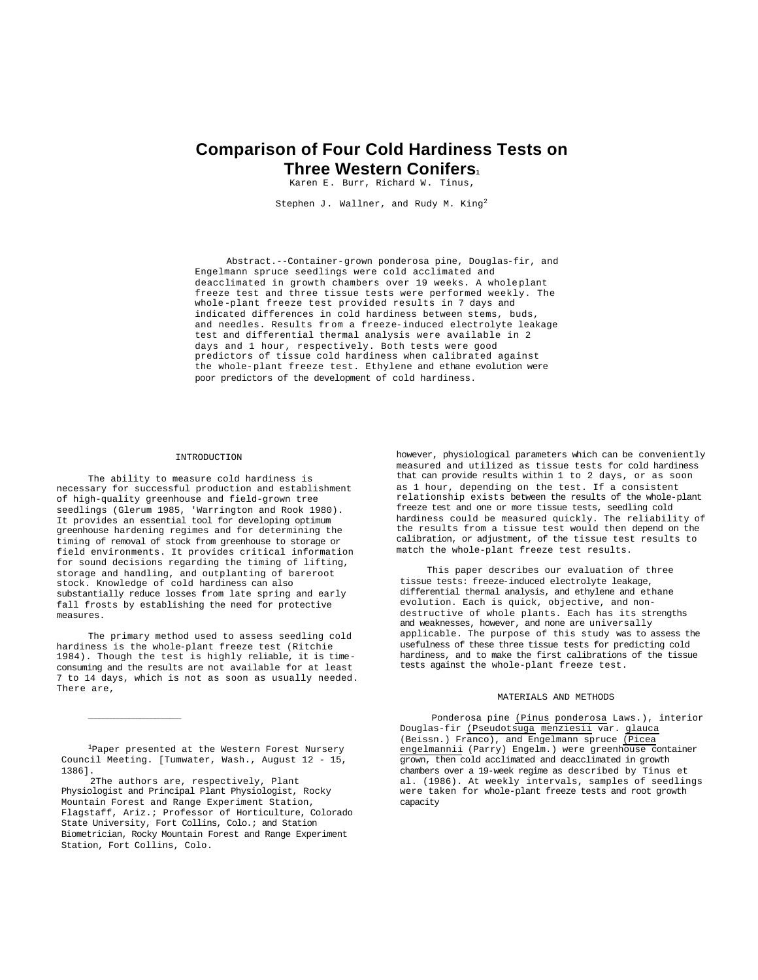# **Comparison of Four Cold Hardiness Tests on Three Western Conifers<sup>1</sup>**

Karen E. Burr, Richard W. Tinus,

Stephen J. Wallner, and Rudy M. King<sup>2</sup>

Abstract.--Container-grown ponderosa pine, Douglas-fir, and Engelmann spruce seedlings were cold acclimated and deacclimated in growth chambers over 19 weeks. A wholeplant freeze test and three tissue tests were performed weekly. The whole-plant freeze test provided results in 7 days and indicated differences in cold hardiness between stems, buds, and needles. Results from a freeze-induced electrolyte leakage test and differential thermal analysis were available in 2 days and 1 hour, respectively. Both tests were good predictors of tissue cold hardiness when calibrated against the whole-plant freeze test. Ethylene and ethane evolution were poor predictors of the development of cold hardiness.

#### INTRODUCTION

The ability to measure cold hardiness is necessary for successful production and establishment of high-quality greenhouse and field-grown tree seedlings (Glerum 1985, 'Warrington and Rook 1980). It provides an essential tool for developing optimum greenhouse hardening regimes and for determining the timing of removal of stock from greenhouse to storage or field environments. It provides critical information for sound decisions regarding the timing of lifting, storage and handling, and outplanting of bareroot stock. Knowledge of cold hardiness can also substantially reduce losses from late spring and early fall frosts by establishing the need for protective measures.

The primary method used to assess seedling cold hardiness is the whole-plant freeze test (Ritchie 1984). Though the test is highly reliable, it is timeconsuming and the results are not available for at least 7 to 14 days, which is not as soon as usually needed. There are,

<sup>1</sup>Paper presented at the Western Forest Nursery Council Meeting. [Tumwater, Wash., August 12 - 15, 1386].

 $\_$ 

 2The authors are, respectively, Plant Physiologist and Principal Plant Physiologist, Rocky Mountain Forest and Range Experiment Station, Flagstaff, Ariz.; Professor of Horticulture, Colorado State University, Fort Collins, Colo.; and Station Biometrician, Rocky Mountain Forest and Range Experiment Station, Fort Collins, Colo.

however, physiological parameters which can be conveniently measured and utilized as tissue tests for cold hardiness that can provide results within 1 to 2 days, or as soon as 1 hour, depending on the test. If a consistent relationship exists between the results of the whole-plant freeze test and one or more tissue tests, seedling cold hardiness could be measured quickly. The reliability of the results from a tissue test would then depend on the calibration, or adjustment, of the tissue test results to match the whole-plant freeze test results.

This paper describes our evaluation of three tissue tests: freeze-induced electrolyte leakage, differential thermal analysis, and ethylene and ethane evolution. Each is quick, objective, and nondestructive of whole plants. Each has its strengths and weaknesses, however, and none are universally applicable. The purpose of this study was to assess the usefulness of these three tissue tests for predicting cold hardiness, and to make the first calibrations of the tissue tests against the whole-plant freeze test.

# MATERIALS AND METHODS

Ponderosa pine (Pinus ponderosa Laws.), interior Douglas-fir (Pseudotsuga menziesii var. glauca (Beissn.) Franco), and Engelmann spruce (Picea engelmannii (Parry) Engelm.) were greenhouse container grown, then cold acclimated and deacclimated in growth chambers over a 19-week regime as described by Tinus et al. (1986). At weekly intervals, samples of seedlings were taken for whole-plant freeze tests and root growth capacity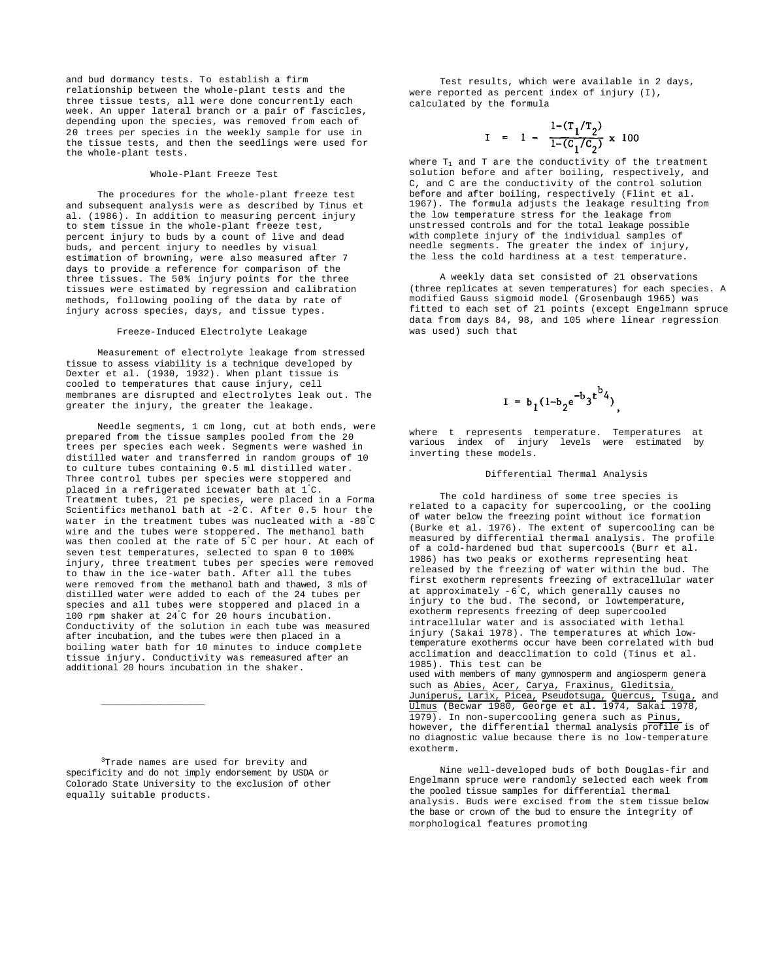and bud dormancy tests. To establish a firm relationship between the whole-plant tests and the three tissue tests, all were done concurrently each week. An upper lateral branch or a pair of fascicles, depending upon the species, was removed from each of 20 trees per species in the weekly sample for use in the tissue tests, and then the seedlings were used for the whole-plant tests.

#### Whole-Plant Freeze Test

The procedures for the whole-plant freeze test and subsequent analysis were as described by Tinus et al. (1986). In addition to measuring percent injury to stem tissue in the whole-plant freeze test, percent injury to buds by a count of live and dead buds, and percent injury to needles by visual estimation of browning, were also measured after 7 days to provide a reference for comparison of the three tissues. The 50% injury points for the three tissues were estimated by regression and calibration methods, following pooling of the data by rate of injury across species, days, and tissue types.

#### Freeze-Induced Electrolyte Leakage

Measurement of electrolyte leakage from stressed tissue to assess viability is a technique developed by Dexter et al. (1930, 1932). When plant tissue is cooled to temperatures that cause injury, cell membranes are disrupted and electrolytes leak out. The greater the injury, the greater the leakage.

Needle segments, 1 cm long, cut at both ends, were prepared from the tissue samples pooled from the 20 trees per species each week. Segments were washed in distilled water and transferred in random groups of 10 to culture tubes containing 0.5 ml distilled water. Three control tubes per species were stoppered and placed in a refrigerated icewater bath at 1°C. Treatment tubes, 21 pe species, were placed in a Forma Scientific3 methanol bath at -2°C. After 0.5 hour the water in the treatment tubes was nucleated with a -80°C wire and the tubes were stoppered. The methanol bath was then cooled at the rate of 5°C per hour. At each of seven test temperatures, selected to span 0 to 100% injury, three treatment tubes per species were removed to thaw in the ice-water bath. After all the tubes were removed from the methanol bath and thawed, 3 mls of distilled water were added to each of the 24 tubes per species and all tubes were stoppered and placed in a 100 rpm shaker at 24°C for 20 hours incubation. Conductivity of the solution in each tube was measured after incubation, and the tubes were then placed in a boiling water bath for 10 minutes to induce complete tissue injury. Conductivity was remeasured after an additional 20 hours incubation in the shaker.

<sup>3</sup>Trade names are used for brevity and specificity and do not imply endorsement by USDA or Colorado State University to the exclusion of other equally suitable products.

\_\_\_\_\_\_\_\_\_\_\_\_\_\_\_\_\_\_\_\_\_\_\_\_\_\_\_\_

Test results, which were available in 2 days, were reported as percent index of injury (I), calculated by the formula

$$
I = 1 - \frac{1 - (T_1/T_2)}{1 - (C_1/C_2)} \times 100
$$

where  $T_1$  and T are the conductivity of the treatment solution before and after boiling, respectively, and C, and C are the conductivity of the control solution before and after boiling, respectively (Flint et al. 1967). The formula adjusts the leakage resulting from the low temperature stress for the leakage from unstressed controls and for the total leakage possible with complete injury of the individual samples of needle segments. The greater the index of injury, the less the cold hardiness at a test temperature.

A weekly data set consisted of 21 observations (three replicates at seven temperatures) for each species. A modified Gauss sigmoid model (Grosenbaugh 1965) was fitted to each set of 21 points (except Engelmann spruce data from days 84, 98, and 105 where linear regression was used) such that



where t represents temperature. Temperatures at various index of injury levels were estimated by inverting these models.

### Differential Thermal Analysis

The cold hardiness of some tree species is related to a capacity for supercooling, or the cooling of water below the freezing point without ice formation (Burke et al. 1976). The extent of supercooling can be measured by differential thermal analysis. The profile of a cold-hardened bud that supercools (Burr et al. 1986) has two peaks or exotherms representing heat released by the freezing of water within the bud. The first exotherm represents freezing of extracellular water at approximately -6 °C, which generally causes no injury to the bud. The second, or lowtemperature, exotherm represents freezing of deep supercooled intracellular water and is associated with lethal injury (Sakai 1978). The temperatures at which lowtemperature exotherms occur have been correlated with bud acclimation and deacclimation to cold (Tinus et al. 1985). This test can be used with members of many gymnosperm and angiosperm genera such as Abies, Acer, Carya, Fraxinus, Gleditsia, Juniperus, Larix, Picea, Pseudotsuga, Quercus, Tsuga, and Ulmus (Becwar 1980, George et al. 1974, Sakai 1978, 1979). In non-supercooling genera such as Pinus, however, the differential thermal analysis profile is of no diagnostic value because there is no low-temperature exotherm.

Nine well-developed buds of both Douglas-fir and Engelmann spruce were randomly selected each week from the pooled tissue samples for differential thermal analysis. Buds were excised from the stem tissue below the base or crown of the bud to ensure the integrity of morphological features promoting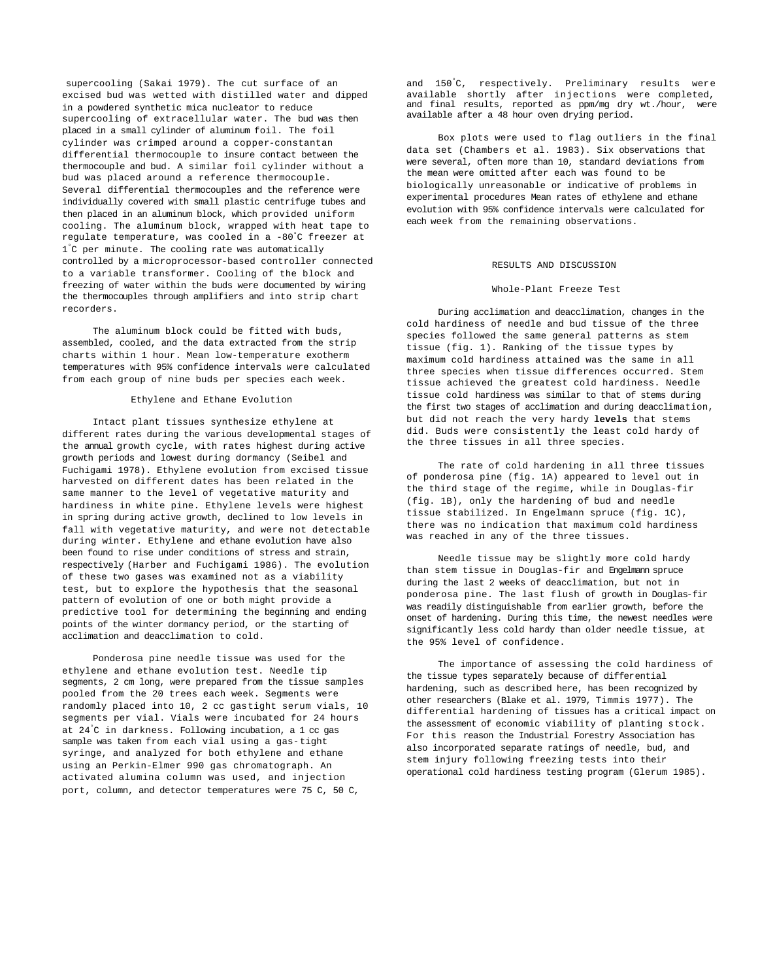supercooling (Sakai 1979). The cut surface of an excised bud was wetted with distilled water and dipped in a powdered synthetic mica nucleator to reduce supercooling of extracellular water. The bud was then placed in a small cylinder of aluminum foil. The foil cylinder was crimped around a copper-constantan differential thermocouple to insure contact between the thermocouple and bud. A similar foil cylinder without a bud was placed around a reference thermocouple. Several differential thermocouples and the reference were individually covered with small plastic centrifuge tubes and then placed in an aluminum block, which provided uniform cooling. The aluminum block, wrapped with heat tape to regulate temperature, was cooled in a -80°C freezer at 1 °C per minute. The cooling rate was automatically controlled by a microprocessor-based controller connected to a variable transformer. Cooling of the block and freezing of water within the buds were documented by wiring the thermocouples through amplifiers and into strip chart recorders.

The aluminum block could be fitted with buds. assembled, cooled, and the data extracted from the strip charts within 1 hour. Mean low-temperature exotherm temperatures with 95% confidence intervals were calculated from each group of nine buds per species each week.

# Ethylene and Ethane Evolution

Intact plant tissues synthesize ethylene at different rates during the various developmental stages of the annual growth cycle, with rates highest during active growth periods and lowest during dormancy (Seibel and Fuchigami 1978). Ethylene evolution from excised tissue harvested on different dates has been related in the same manner to the level of vegetative maturity and hardiness in white pine. Ethylene levels were highest in spring during active growth, declined to low levels in fall with vegetative maturity, and were not detectable during winter. Ethylene and ethane evolution have also been found to rise under conditions of stress and strain, respectively (Harber and Fuchigami 1986). The evolution of these two gases was examined not as a viability test, but to explore the hypothesis that the seasonal pattern of evolution of one or both might provide a predictive tool for determining the beginning and ending points of the winter dormancy period, or the starting of acclimation and deacclimation to cold.

Ponderosa pine needle tissue was used for the ethylene and ethane evolution test. Needle tip segments, 2 cm long, were prepared from the tissue samples pooled from the 20 trees each week. Segments were randomly placed into 10, 2 cc gastight serum vials, 10 segments per vial. Vials were incubated for 24 hours at 24°C in darkness. Following incubation, a 1 cc gas sample was taken from each vial using a gas-tight syringe, and analyzed for both ethylene and ethane using an Perkin-Elmer 990 gas chromatograph. An activated alumina column was used, and injection port, column, and detector temperatures were 75 C, 50 C,

and 150°C, respectively. Preliminary results were available shortly after injections were completed, and final results, reported as ppm/mg dry wt./hour, were available after a 48 hour oven drying period.

Box plots were used to flag outliers in the final data set (Chambers et al. 1983). Six observations that were several, often more than 10, standard deviations from the mean were omitted after each was found to be biologically unreasonable or indicative of problems in experimental procedures Mean rates of ethylene and ethane evolution with 95% confidence intervals were calculated for each week from the remaining observations.

## RESULTS AND DISCUSSION

#### Whole-Plant Freeze Test

During acclimation and deacclimation, changes in the cold hardiness of needle and bud tissue of the three species followed the same general patterns as stem tissue (fig. 1). Ranking of the tissue types by maximum cold hardiness attained was the same in all three species when tissue differences occurred. Stem tissue achieved the greatest cold hardiness. Needle tissue cold hardiness was similar to that of stems during the first two stages of acclimation and during deacclimation, but did not reach the very hardy **levels** that stems did. Buds were consistently the least cold hardy of the three tissues in all three species.

The rate of cold hardening in all three tissues of ponderosa pine (fig. 1A) appeared to level out in the third stage of the regime, while in Douglas-fir (fig. 1B), only the hardening of bud and needle tissue stabilized. In Engelmann spruce (fig. 1C), there was no indication that maximum cold hardiness was reached in any of the three tissues.

Needle tissue may be slightly more cold hardy than stem tissue in Douglas-fir and Engelmann spruce during the last 2 weeks of deacclimation, but not in ponderosa pine. The last flush of growth in Douglas-fir was readily distinguishable from earlier growth, before the onset of hardening. During this time, the newest needles were significantly less cold hardy than older needle tissue, at the 95% level of confidence.

The importance of assessing the cold hardiness of the tissue types separately because of differential hardening, such as described here, has been recognized by other researchers (Blake et al. 1979, Timmis 1977). The differential hardening of tissues has a critical impact on the assessment of economic viability of planting stock. For this reason the Industrial Forestry Association has also incorporated separate ratings of needle, bud, and stem injury following freezing tests into their operational cold hardiness testing program (Glerum 1985).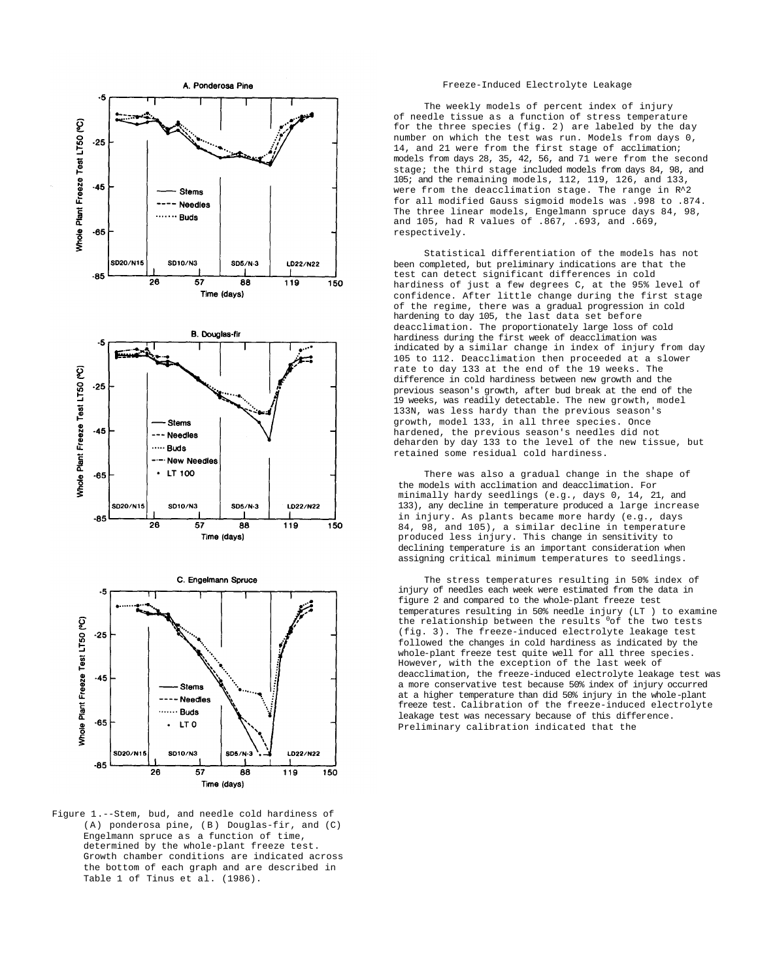

Figure 1.--Stem, bud, and needle cold hardiness of (A) ponderosa pine, (B) Douglas-fir, and (C) Engelmann spruce as a function of time, determined by the whole-plant freeze test. Growth chamber conditions are indicated across the bottom of each graph and are described in Table 1 of Tinus et al. (1986).

#### Freeze-Induced Electrolyte Leakage

The weekly models of percent index of injury of needle tissue as a function of stress temperature for the three species (fig. 2) are labeled by the day number on which the test was run. Models from days 0, 14, and 21 were from the first stage of acclimation; models from days 28, 35, 42, 56, and 71 were from the second stage; the third stage included models from days 84, 98, and 105; and the remaining models, 112, 119, 126, and 133, were from the deacclimation stage. The range in R^2 for all modified Gauss sigmoid models was .998 to .874. The three linear models, Engelmann spruce days 84, 98, and 105, had R values of .867, .693, and .669, respectively.

Statistical differentiation of the models has not been completed, but preliminary indications are that the test can detect significant differences in cold hardiness of just a few degrees C, at the 95% level of confidence. After little change during the first stage of the regime, there was a gradual progression in cold hardening to day 105, the last data set before deacclimation. The proportionately large loss of cold hardiness during the first week of deacclimation was indicated by a similar change in index of injury from day 105 to 112. Deacclimation then proceeded at a slower rate to day 133 at the end of the 19 weeks. The difference in cold hardiness between new growth and the previous season's growth, after bud break at the end of the 19 weeks, was readily detectable. The new growth, model 133N, was less hardy than the previous season's growth, model 133, in all three species. Once hardened, the previous season's needles did not deharden by day 133 to the level of the new tissue, but retained some residual cold hardiness.

There was also a gradual change in the shape of the models with acclimation and deacclimation. For minimally hardy seedlings (e.g., days 0, 14, 21, and 133), any decline in temperature produced a large increase in injury. As plants became more hardy (e.g., days 84, 98, and 105), a similar decline in temperature produced less injury. This change in sensitivity to declining temperature is an important consideration when assigning critical minimum temperatures to seedlings.

The stress temperatures resulting in 50% index of injury of needles each week were estimated from the data in figure 2 and compared to the whole-plant freeze test temperatures resulting in 50% needle injury (LT ) to examine the relationship between the results  $^{0}$ of the two tests (fig. 3). The freeze-induced electrolyte leakage test followed the changes in cold hardiness as indicated by the whole-plant freeze test quite well for all three species. However, with the exception of the last week of deacclimation, the freeze-induced electrolyte leakage test was a more conservative test because 50% index of injury occurred at a higher temperature than did 50% injury in the whole-plant freeze test. Calibration of the freeze-induced electrolyte leakage test was necessary because of this difference. Preliminary calibration indicated that the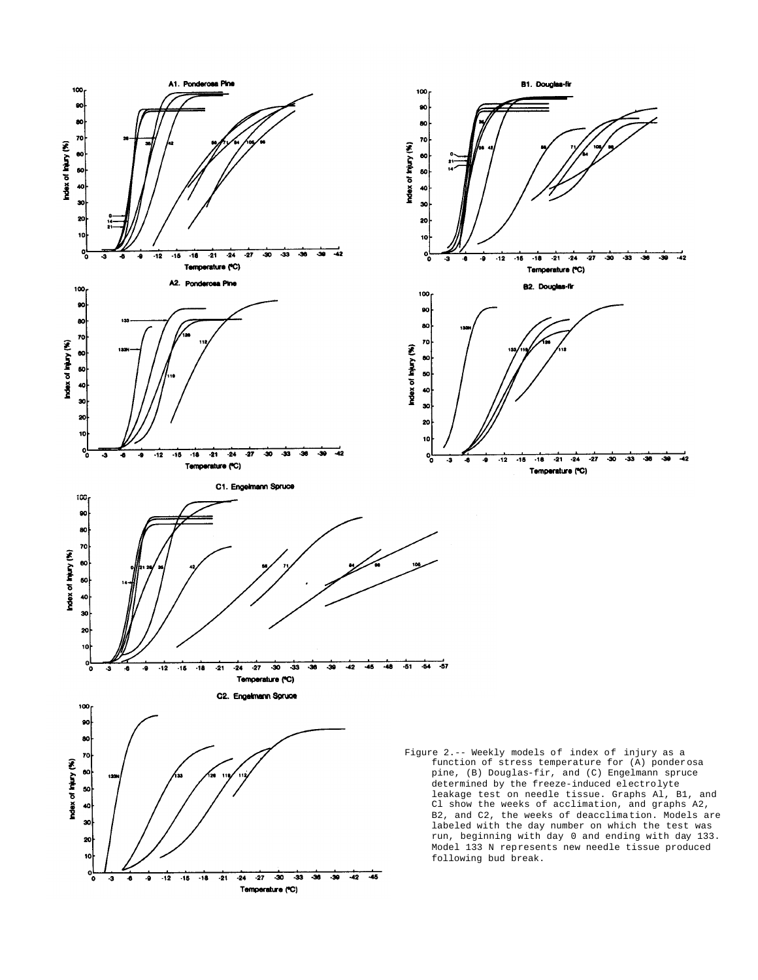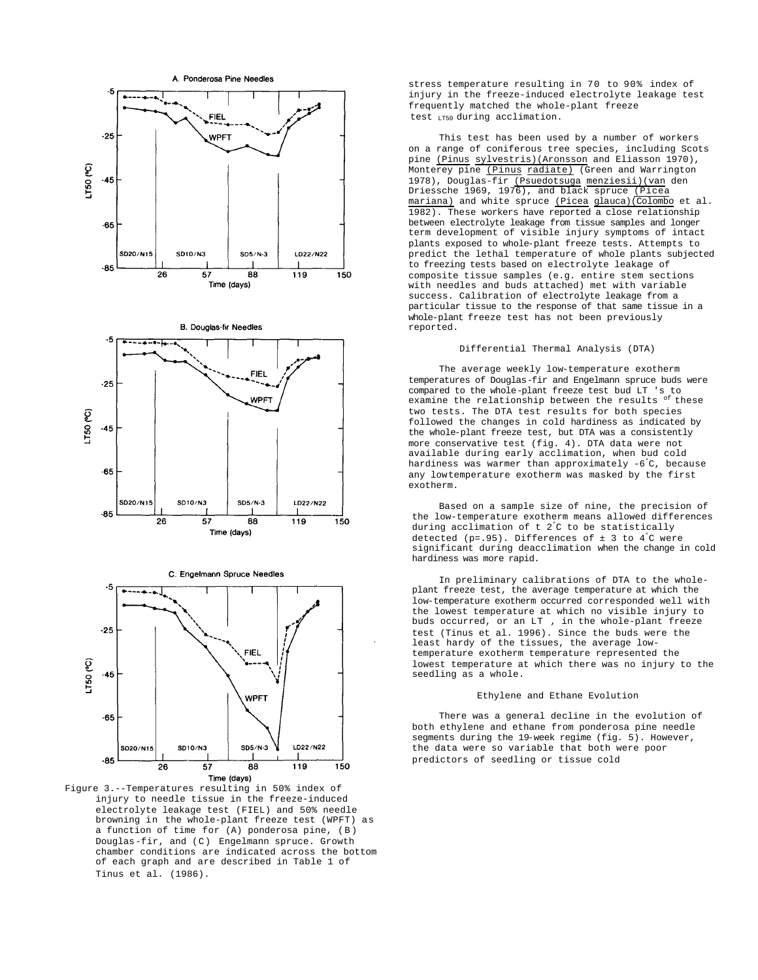

Figure 3.--Temperatures resulting in 50% index of injury to needle tissue in the freeze-induced electrolyte leakage test (FIEL) and 50% needle browning in the whole-plant freeze test (WPFT) as a function of time for (A) ponderosa pine, (B) Douglas-fir, and (C) Engelmann spruce. Growth chamber conditions are indicated across the bottom of each graph and are described in Table 1 of Tinus et al. (1986).

stress temperature resulting in 70 to 90% index of injury in the freeze-induced electrolyte leakage test frequently matched the whole-plant freeze test LT50 during acclimation.

This test has been used by a number of workers on a range of coniferous tree species, including Scots pine (Pinus sylvestris)(Aronsson and Eliasson 1970), Monterey pine (Pinus radiate) (Green and Warrington 1978), Douglas-fir (Psuedotsuga menziesii)(van den Driessche 1969, 1976), and black spruce (Picea mariana) and white spruce (Picea glauca)(Colombo et al. 1982). These workers have reported a close relationship between electrolyte leakage from tissue samples and longer term development of visible injury symptoms of intact plants exposed to whole-plant freeze tests. Attempts to predict the lethal temperature of whole plants subjected to freezing tests based on electrolyte leakage of composite tissue samples (e.g. entire stem sections with needles and buds attached) met with variable success. Calibration of electrolyte leakage from a particular tissue to the response of that same tissue in a whole-plant freeze test has not been previously reported.

#### Differential Thermal Analysis (DTA)

The average weekly low-temperature exotherm temperatures of Douglas-fir and Engelmann spruce buds were compared to the whole-plant freeze test bud LT 's to examine the relationship between the results of these two tests. The DTA test results for both species followed the changes in cold hardiness as indicated by the whole-plant freeze test, but DTA was a consistently more conservative test (fig. 4). DTA data were not available during early acclimation, when bud cold hardiness was warmer than approximately -6 °C, because any lowtemperature exotherm was masked by the first exotherm.

Based on a sample size of nine, the precision of the low-temperature exotherm means allowed differences during acclimation of t 2°C to be statistically detected (p=.95). Differences of  $\pm$  3 to 4°C were significant during deacclimation when the change in cold hardiness was more rapid.

In preliminary calibrations of DTA to the wholeplant freeze test, the average temperature at which the low-temperature exotherm occurred corresponded well with the lowest temperature at which no visible injury to buds occurred, or an LT , in the whole-plant freeze test (Tinus et al. 1996). Since the buds were the least hardy of the tissues, the average lowtemperature exotherm temperature represented the lowest temperature at which there was no injury to the seedling as a whole.

# Ethylene and Ethane Evolution

There was a general decline in the evolution of both ethylene and ethane from ponderosa pine needle segments during the 19-week regime (fig. 5). However, the data were so variable that both were poor predictors of seedling or tissue cold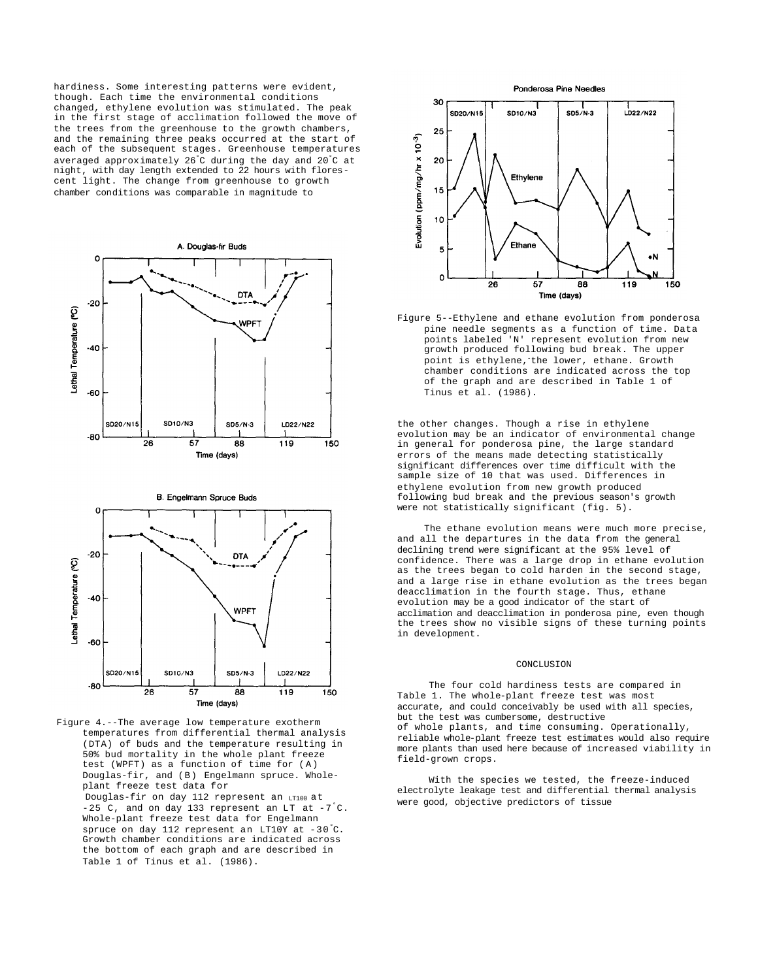hardiness. Some interesting patterns were evident, though. Each time the environmental conditions changed, ethylene evolution was stimulated. The peak in the first stage of acclimation followed the move of the trees from the greenhouse to the growth chambers, and the remaining three peaks occurred at the start of each of the subsequent stages. Greenhouse temperatures averaged approximately 26°C during the day and 20°C at night, with day length extended to 22 hours with florescent light. The change from greenhouse to growth chamber conditions was comparable in magnitude to





Figure 4.--The average low temperature exotherm temperatures from differential thermal analysis (DTA) of buds and the temperature resulting in 50% bud mortality in the whole plant freeze test (WPFT) as a function of time for (A) Douglas-fir, and (B) Engelmann spruce. Wholeplant freeze test data for Douglas-fir on day 112 represent an LT100 at -25 C, and on day 133 represent an LT at  $-7^{\circ}$ C. Whole-plant freeze test data for Engelmann spruce on day 112 represent an LT10Y at -30°C. Growth chamber conditions are indicated across the bottom of each graph and are described in Table 1 of Tinus et al. (1986).





Figure 5--Ethylene and ethane evolution from ponderosa pine needle segments as a function of time. Data points labeled 'N' represent evolution from new growth produced following bud break. The upper point is ethylene, the lower, ethane. Growth chamber conditions are indicated across the top of the graph and are described in Table 1 of Tinus et al. (1986).

the other changes. Though a rise in ethylene evolution may be an indicator of environmental change in general for ponderosa pine, the large standard errors of the means made detecting statistically significant differences over time difficult with the sample size of 10 that was used. Differences in ethylene evolution from new growth produced following bud break and the previous season's growth were not statistically significant (fig. 5).

The ethane evolution means were much more precise, and all the departures in the data from the general declining trend were significant at the 95% level of confidence. There was a large drop in ethane evolution as the trees began to cold harden in the second stage, and a large rise in ethane evolution as the trees began deacclimation in the fourth stage. Thus, ethane evolution may be a good indicator of the start of acclimation and deacclimation in ponderosa pine, even though the trees show no visible signs of these turning points in development.

### CONCLUSION

The four cold hardiness tests are compared in Table 1. The whole-plant freeze test was most accurate, and could conceivably be used with all species, but the test was cumbersome, destructive of whole plants, and time consuming. Operationally, reliable whole-plant freeze test estimates would also require more plants than used here because of increased viability in field-grown crops.

With the species we tested, the freeze-induced electrolyte leakage test and differential thermal analysis were good, objective predictors of tissue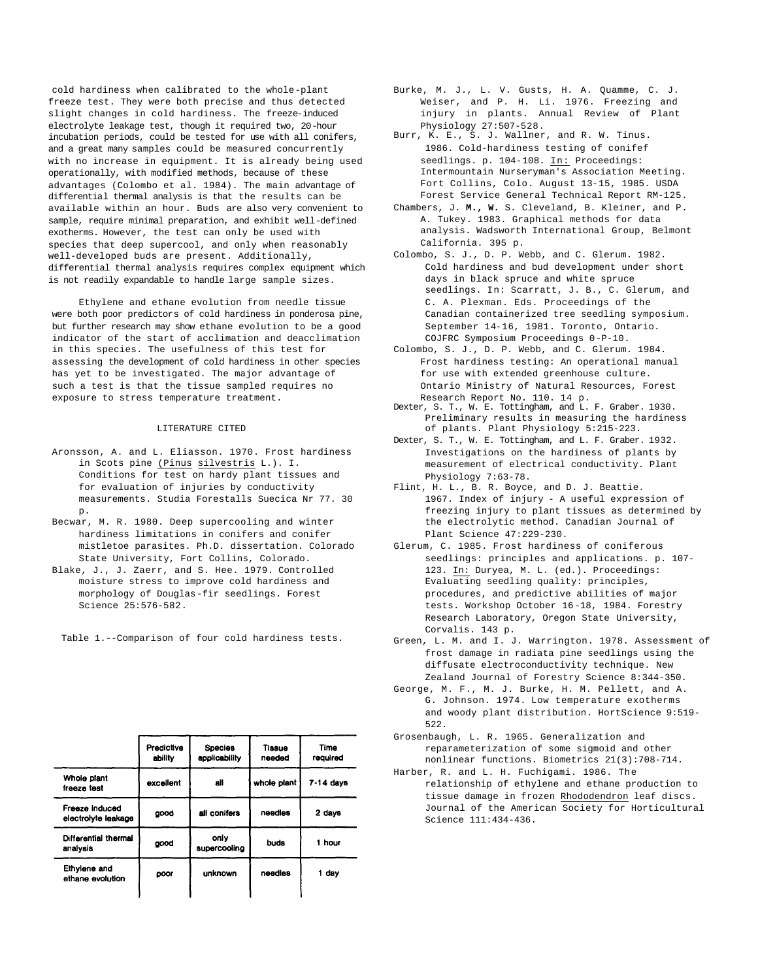cold hardiness when calibrated to the whole-plant freeze test. They were both precise and thus detected slight changes in cold hardiness. The freeze-induced electrolyte leakage test, though it required two, 20-hour incubation periods, could be tested for use with all conifers, and a great many samples could be measured concurrently with no increase in equipment. It is already being used operationally, with modified methods, because of these advantages (Colombo et al. 1984). The main advantage of differential thermal analysis is that the results can be available within an hour. Buds are also very convenient to sample, require minimal preparation, and exhibit well-defined exotherms. However, the test can only be used with species that deep supercool, and only when reasonably well-developed buds are present. Additionally, differential thermal analysis requires complex equipment which is not readily expandable to handle large sample sizes.

Ethylene and ethane evolution from needle tissue were both poor predictors of cold hardiness in ponderosa pine, but further research may show ethane evolution to be a good indicator of the start of acclimation and deacclimation in this species. The usefulness of this test for assessing the development of cold hardiness in other species has yet to be investigated. The major advantage of such a test is that the tissue sampled requires no exposure to stress temperature treatment.

## LITERATURE CITED

- Aronsson, A. and L. Eliasson. 1970. Frost hardiness in Scots pine (Pinus silvestris L.). I. Conditions for test on hardy plant tissues and for evaluation of injuries by conductivity measurements. Studia Forestalls Suecica Nr 77. 30 p.
- Becwar, M. R. 1980. Deep supercooling and winter hardiness limitations in conifers and conifer mistletoe parasites. Ph.D. dissertation. Colorado State University, Fort Collins, Colorado.
- Blake, J., J. Zaerr, and S. Hee. 1979. Controlled moisture stress to improve cold hardiness and morphology of Douglas-fir seedlings. Forest Science 25:576-582.

Table 1.--Comparison of four cold hardiness tests.

|                                       | Predictive<br>ability | <b>Species</b><br>applicability | Tissue<br>needed | Time<br>reguired |
|---------------------------------------|-----------------------|---------------------------------|------------------|------------------|
| Whole plant<br>freeze test            | excellent             | ali                             | whole plant      | $7-14$ days      |
| Freeze induced<br>electrolyte leakage | good                  | all conifers                    | needles          | 2 days           |
| Differential thermal<br>analysis      | good                  | only<br>supercooling            | buds             | 1 hour           |
| Ethylene and<br>ethane evolution      | poor                  | unknown                         | needles          | 1 day            |

- Burke, M. J., L. V. Gusts, H. A. Quamme, C. J. Weiser, and P. H. Li. 1976. Freezing and injury in plants. Annual Review of Plant Physiology 27:507-528.
- Burr, K. E., S. J. Wallner, and R. W. Tinus. 1986. Cold-hardiness testing of conifef seedlings. p. 104-108. In: Proceedings: Intermountain Nurseryman's Association Meeting. Fort Collins, Colo. August 13-15, 1985. USDA Forest Service General Technical Report RM-125.
- Chambers, J. **M., W.** S. Cleveland, B. Kleiner, and P. A. Tukey. 1983. Graphical methods for data analysis. Wadsworth International Group, Belmont California. 395 p.
- Colombo, S. J., D. P. Webb, and C. Glerum. 1982. Cold hardiness and bud development under short days in black spruce and white spruce seedlings. In: Scarratt, J. B., C. Glerum, and C. A. Plexman. Eds. Proceedings of the Canadian containerized tree seedling symposium. September 14-16, 1981. Toronto, Ontario. COJFRC Symposium Proceedings 0-P-10.
- Colombo, S. J., D. P. Webb, and C. Glerum. 1984. Frost hardiness testing: An operational manual for use with extended greenhouse culture. Ontario Ministry of Natural Resources, Forest Research Report No. 110. 14 p.
- Dexter, S. T., W. E. Tottingham, and L. F. Graber. 1930. Preliminary results in measuring the hardiness of plants. Plant Physiology 5:215-223.
- Dexter, S. T., W. E. Tottingham, and L. F. Graber. 1932. Investigations on the hardiness of plants by measurement of electrical conductivity. Plant Physiology 7:63-78.
- Flint, H. L., B. R. Boyce, and D. J. Beattie. 1967. Index of injury - A useful expression of freezing injury to plant tissues as determined by the electrolytic method. Canadian Journal of Plant Science 47:229-230.
- Glerum, C. 1985. Frost hardiness of coniferous seedlings: principles and applications. p. 107- 123. In: Duryea, M. L. (ed.). Proceedings: Evaluating seedling quality: principles, procedures, and predictive abilities of major tests. Workshop October 16-18, 1984. Forestry Research Laboratory, Oregon State University, Corvalis. 143 p.
- Green, L. M. and I. J. Warrington. 1978. Assessment of frost damage in radiata pine seedlings using the diffusate electroconductivity technique. New Zealand Journal of Forestry Science 8:344-350.
- George, M. F., M. J. Burke, H. M. Pellett, and A. G. Johnson. 1974. Low temperature exotherms and woody plant distribution. HortScience 9:519- 522.
- Grosenbaugh, L. R. 1965. Generalization and reparameterization of some sigmoid and other nonlinear functions. Biometrics 21(3):708-714.
- Harber, R. and L. H. Fuchigami. 1986. The relationship of ethylene and ethane production to tissue damage in frozen Rhododendron leaf discs. Journal of the American Society for Horticultural Science 111:434-436.